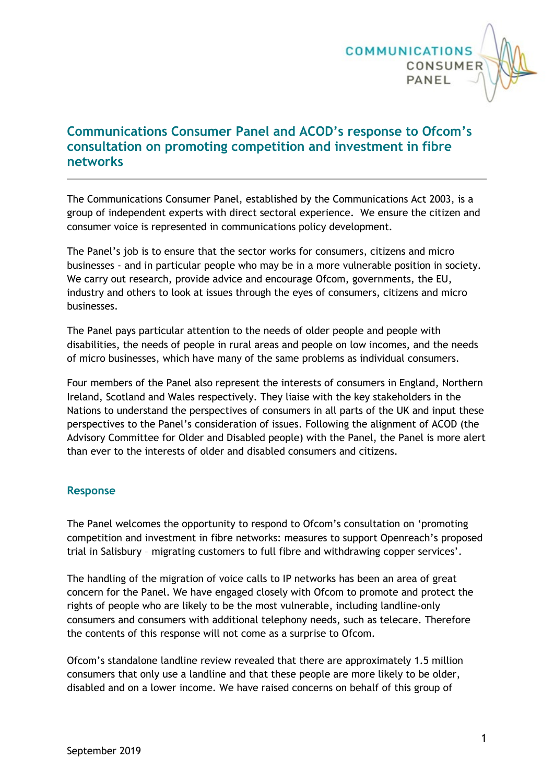

# **Communications Consumer Panel and ACOD's response to Ofcom's consultation on promoting competition and investment in fibre networks**

The Communications Consumer Panel, established by the Communications Act 2003, is a group of independent experts with direct sectoral experience. We ensure the citizen and consumer voice is represented in communications policy development.

The Panel's job is to ensure that the sector works for consumers, citizens and micro businesses - and in particular people who may be in a more vulnerable position in society. We carry out research, provide advice and encourage Ofcom, governments, the EU, industry and others to look at issues through the eyes of consumers, citizens and micro businesses.

The Panel pays particular attention to the needs of older people and people with disabilities, the needs of people in rural areas and people on low incomes, and the needs of micro businesses, which have many of the same problems as individual consumers.

Four members of the Panel also represent the interests of consumers in England, Northern Ireland, Scotland and Wales respectively. They liaise with the key stakeholders in the Nations to understand the perspectives of consumers in all parts of the UK and input these perspectives to the Panel's consideration of issues. Following the alignment of ACOD (the Advisory Committee for Older and Disabled people) with the Panel, the Panel is more alert than ever to the interests of older and disabled consumers and citizens.

#### **Response**

The Panel welcomes the opportunity to respond to Ofcom's consultation on 'promoting competition and investment in fibre networks: measures to support Openreach's proposed trial in Salisbury – migrating customers to full fibre and withdrawing copper services'.

The handling of the migration of voice calls to IP networks has been an area of great concern for the Panel. We have engaged closely with Ofcom to promote and protect the rights of people who are likely to be the most vulnerable, including landline-only consumers and consumers with additional telephony needs, such as telecare. Therefore the contents of this response will not come as a surprise to Ofcom.

Ofcom's standalone landline review revealed that there are approximately 1.5 million consumers that only use a landline and that these people are more likely to be older, disabled and on a lower income. We have raised concerns on behalf of this group of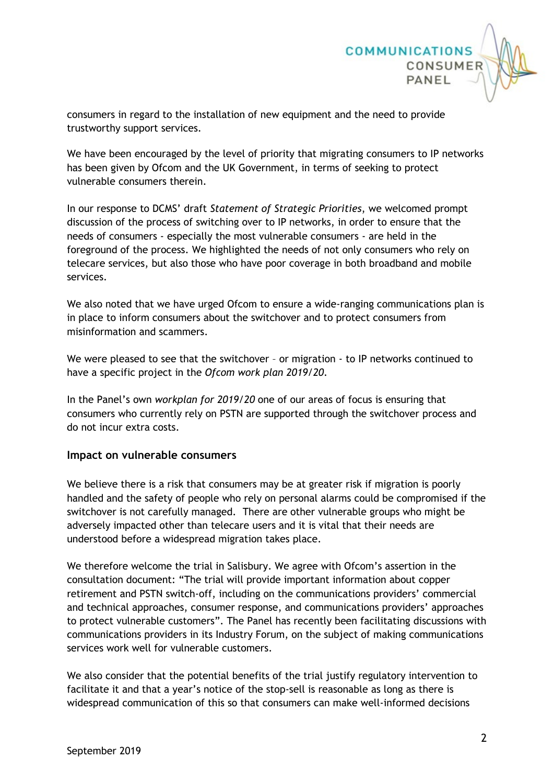

consumers in regard to the installation of new equipment and the need to provide trustworthy support services.

We have been encouraged by the level of priority that migrating consumers to IP networks has been given by Ofcom and the UK Government, in terms of seeking to protect vulnerable consumers therein.

In our response to DCMS' draft *Statement of Strategic Priorities*, we welcomed prompt discussion of the process of switching over to IP networks, in order to ensure that the needs of consumers - especially the most vulnerable consumers - are held in the foreground of the process. We highlighted the needs of not only consumers who rely on telecare services, but also those who have poor coverage in both broadband and mobile services.

We also noted that we have urged Ofcom to ensure a wide-ranging communications plan is in place to inform consumers about the switchover and to protect consumers from misinformation and scammers.

We were pleased to see that the switchover - or migration - to IP networks continued to have a specific project in the *Ofcom work plan 2019/20*.

In the Panel's own *workplan for 2019/20* one of our areas of focus is ensuring that consumers who currently rely on PSTN are supported through the switchover process and do not incur extra costs.

#### **Impact on vulnerable consumers**

We believe there is a risk that consumers may be at greater risk if migration is poorly handled and the safety of people who rely on personal alarms could be compromised if the switchover is not carefully managed. There are other vulnerable groups who might be adversely impacted other than telecare users and it is vital that their needs are understood before a widespread migration takes place.

We therefore welcome the trial in Salisbury. We agree with Ofcom's assertion in the consultation document: "The trial will provide important information about copper retirement and PSTN switch-off, including on the communications providers' commercial and technical approaches, consumer response, and communications providers' approaches to protect vulnerable customers". The Panel has recently been facilitating discussions with communications providers in its Industry Forum, on the subject of making communications services work well for vulnerable customers.

We also consider that the potential benefits of the trial justify regulatory intervention to facilitate it and that a year's notice of the stop-sell is reasonable as long as there is widespread communication of this so that consumers can make well-informed decisions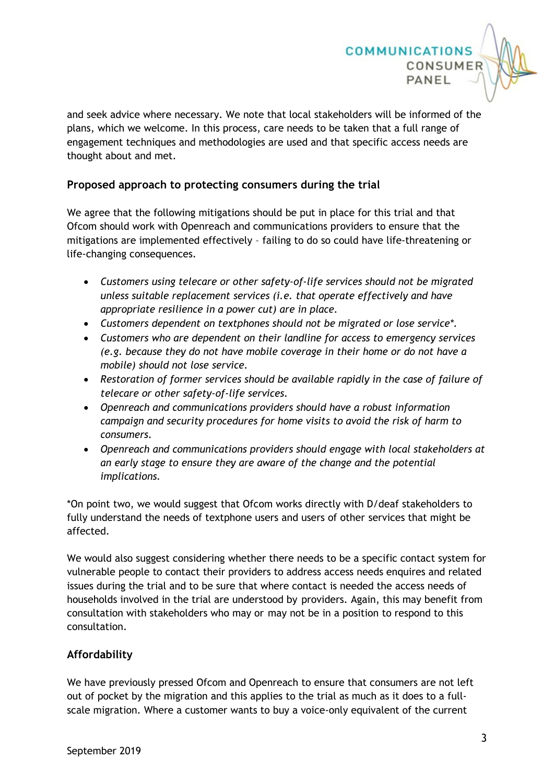

and seek advice where necessary. We note that local stakeholders will be informed of the plans, which we welcome. In this process, care needs to be taken that a full range of engagement techniques and methodologies are used and that specific access needs are thought about and met.

### **Proposed approach to protecting consumers during the trial**

We agree that the following mitigations should be put in place for this trial and that Ofcom should work with Openreach and communications providers to ensure that the mitigations are implemented effectively – failing to do so could have life-threatening or life-changing consequences.

- *Customers using telecare or other safety-of-life services should not be migrated unless suitable replacement services (i.e. that operate effectively and have appropriate resilience in a power cut) are in place.*
- *Customers dependent on textphones should not be migrated or lose service\*.*
- *Customers who are dependent on their landline for access to emergency services (e.g. because they do not have mobile coverage in their home or do not have a mobile) should not lose service.*
- *Restoration of former services should be available rapidly in the case of failure of telecare or other safety-of-life services.*
- *Openreach and communications providers should have a robust information campaign and security procedures for home visits to avoid the risk of harm to consumers.*
- *Openreach and communications providers should engage with local stakeholders at an early stage to ensure they are aware of the change and the potential implications.*

\*On point two, we would suggest that Ofcom works directly with D/deaf stakeholders to fully understand the needs of textphone users and users of other services that might be affected.

We would also suggest considering whether there needs to be a specific contact system for vulnerable people to contact their providers to address access needs enquires and related issues during the trial and to be sure that where contact is needed the access needs of households involved in the trial are understood by providers. Again, this may benefit from consultation with stakeholders who may or may not be in a position to respond to this consultation.

## **Affordability**

We have previously pressed Ofcom and Openreach to ensure that consumers are not left out of pocket by the migration and this applies to the trial as much as it does to a fullscale migration. Where a customer wants to buy a voice-only equivalent of the current